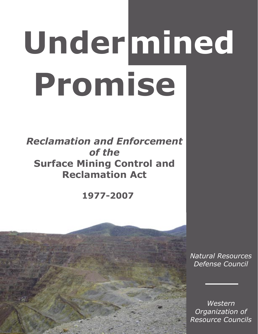# **Under mined Promise**

*Reclamation and Enforcement of the*  **Surface Mining Control and Reclamation Act**

**1977-2007**



*Natural Resources Defense Council*

*Western Organization of Resource Councils*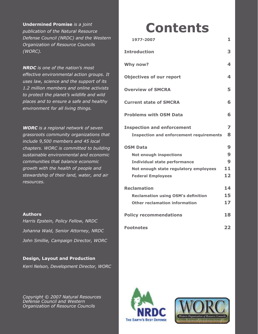**Undermined Promise** *is a joint publication of the Natural Resource Defense Council (NRDC) and the Western Organization of Resource Councils (WORC).* 

*NRDC is one of the nation's most effective environmental action groups. It uses law, science and the support of its 1.2 million members and online activists to protect the planet's wildlife and wild places and to ensure a safe and healthy environment for all living things.*

*WORC is a regional network of seven grassroots community organizations that include 9,500 members and 45 local chapters. WORC is committed to building sustainable environmental and economic communities that balance economic growth with the health of people and stewardship of their land, water, and air resources.*

#### **Authors**

*Harris Epstein, Policy Fellow, NRDC Johanna Wald, Senior Attorney, NRDC John Smillie, Campaign Director, WORC*

#### **Design, Layout and Production**

*Kerri Nelson, Development Director, WORC*

*Copyright © 2007 Natural Resources Defense Council and Western Organization of Resource Councils*

## **Contents**

| 1977-2007                                      | 1  |
|------------------------------------------------|----|
| <b>Introduction</b>                            | 3  |
| Why now?                                       | 4  |
| <b>Objectives of our report</b>                | 4  |
| <b>Overview of SMCRA</b>                       | 5  |
| <b>Current state of SMCRA</b>                  | 6  |
| <b>Problems with OSM Data</b>                  | 6  |
| <b>Inspection and enforcement</b>              | 7  |
| <b>Inspection and enforcement requirements</b> | 8  |
| <b>OSM Data</b>                                | 9  |
| <b>Not enough inspections</b>                  | 9  |
| <b>Individual state performance</b>            | 9  |
| Not enough state regulatory employees          | 11 |
| <b>Federal Employees</b>                       | 12 |
| <b>Reclamation</b>                             | 14 |
| <b>Reclamation using OSM's definition</b>      | 15 |
| <b>Other reclamation information</b>           | 17 |
| <b>Policy recommendations</b>                  | 18 |
| <b>Footnotes</b>                               | 22 |



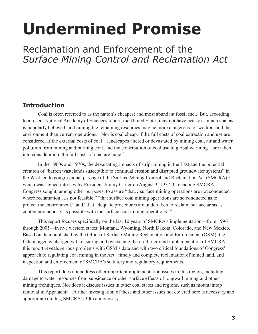# **Undermined Promise**

### Reclamation and Enforcement of the *Surface Mining Control and Reclamation Act*

#### **Introduction**

Coal is often referred to as the nation's cheapest and most abundant fossil fuel. But, according to a recent National Academy of Sciences report, the United States may not have nearly as much coal as is popularly believed, and mining the remaining resources may be more dangerous for workers and the environment than current operations.<sup>1</sup> Nor is coal cheap, if the full costs of coal extraction and use are considered. If the external costs of coal—landscapes altered or devastated by mining coal, air and water pollution from mining and burning coal, and the contribution of coal use to global warming—are taken into consideration, the full costs of coal are huge.<sup>2</sup>

In the 1960s and 1970s, the devastating impacts of strip-mining in the East and the potential creation of "barren wastelands susceptible to continual erosion and disrupted groundwater systems" in the West led to congressional passage of the Surface Mining Control and Reclamation Act (SMCRA),<sup>3</sup> which was signed into law by President Jimmy Carter on August 3, 1977. In enacting SMCRA, Congress sought, among other purposes, to assure "that…surface mining operations are not conducted where reclamation…is not feasible," "that surface coal mining operations are so conducted as to protect the environment," and "that adequate procedures are undertaken to reclaim surface areas as contemporaneously as possible with the surface coal mining operations."4

This report focuses specifically on the last 10 years of SMCRA's implementation—from 1996 through 2005—in five western states: Montana, Wyoming, North Dakota, Colorado, and New Mexico. Based on data published by the Office of Surface Mining Reclamation and Enforcement (OSM), the federal agency charged with ensuring and overseeing the on-the-ground implementation of SMCRA, this report reveals serious problems with OSM's data and with two critical foundations of Congress' approach to regulating coal mining in the Act: timely and complete reclamation of mined land, and inspection and enforcement of SMCRA's statutory and regulatory requirements.

This report does not address other important implementation issues in this region, including damage to water resources from subsidence or other surface effects of longwall mining and other mining techniques. Nor does it discuss issues in other coal states and regions, such as mountaintop removal in Appalachia. Further investigation of these and other issues not covered here is necessary and appropriate on this, SMCRA's 30th anniversary.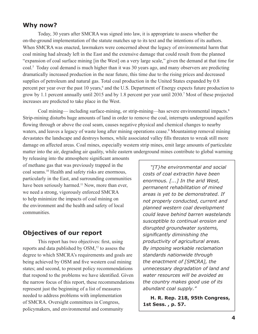#### **Why now?**

Today, 30 years after SMCRA was signed into law, it is appropriate to assess whether the on-the-ground implementation of the statute matches up to its text and the intentions of its authors. When SMCRA was enacted, lawmakers were concerned about the legacy of environmental harm that coal mining had already left in the East and the extensive damage that could result from the planned "expansion of coal surface mining [in the West] on a very large scale," given the demand at that time for coal.5 Today coal demand is much higher than it was 30 years ago, and many observers are predicting dramatically increased production in the near future, this time due to the rising prices and decreased supplies of petroleum and natural gas. Total coal production in the United States expanded by 0.8 percent per year over the past 10 years,<sup>6</sup> and the U.S. Department of Energy expects future production to grow by 1.1 percent annually until 2015 and by 1.8 percent per year until 2030.7 Most of these projected increases are predicted to take place in the West.

Coal mining— including surface-mining, or strip-mining—has severe environmental impacts.<sup>8</sup> Strip-mining disturbs huge amounts of land in order to remove the coal, interrupts underground aquifers flowing through or above the coal seam, causes negative physical and chemical changes to nearby waters, and leaves a legacy of waste long after mining operations cease.<sup>9</sup> Mountaintop removal mining devastates the landscape and destroys homes, while associated valley fills threaten to wreak still more damage on affected areas. Coal mines, especially western strip mines, emit large amounts of particulate matter into the air, degrading air quality, while eastern underground mines contribute to global warming

by releasing into the atmosphere significant amounts of methane gas that was previously trapped in the coal seams.10 Health and safety risks are enormous, particularly in the East, and surrounding communities have been seriously harmed.<sup>11</sup> Now, more than ever, we need a strong, vigorously enforced SMCRA to help minimize the impacts of coal mining on the environment and the health and safety of local communities.

#### **Objectives of our report**

This report has two objectives: first, using reports and data published by OSM,<sup>12</sup> to assess the degree to which SMCRA's requirements and goals are being achieved by OSM and five western coal mining states; and second, to present policy recommendations that respond to the problems we have identified. Given the narrow focus of this report, these recommendations represent just the beginning of a list of measures needed to address problems with implementation of SMCRA. Oversight committees in Congress, policymakers, and environmental and community

*"[T}he environmental and social costs of coal extractin have been enormous. [...] In the arid West, permanent rehabilitation of mined areas is yet to be demonstrated. If not properly conducted, current and planned western coal development could leave behind barren wastelands susceptible to continual erosion and disrupted groundwater systems, significantly diminishing the productivity of agricultural areas. By imposing workable reclamation standards nationwide through the enactment of [SMCRA], the unnecessary degradation of land and water resources will be avoided as the country makes good use of its abundant coal supply."*

**H. R. Rep. 218, 95th Congress, 1st Sess. , p. 57.**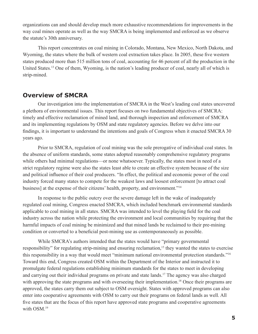organizations can and should develop much more exhaustive recommendations for improvements in the way coal mines operate as well as the way SMCRA is being implemented and enforced as we observe the statute's 30th anniversary.

This report concentrates on coal mining in Colorado, Montana, New Mexico, North Dakota, and Wyoming, the states where the bulk of western coal extraction takes place. In 2005, these five western states produced more than 515 million tons of coal, accounting for 46 percent of all the production in the United States.13 One of them, Wyoming, is the nation's leading producer of coal, nearly all of which is strip-mined.

#### **Overview of SMCRA**

Our investigation into the implementation of SMCRA in the West's leading coal states uncovered a plethora of environmental issues. This report focuses on two fundamental objectives of SMCRA: timely and effective reclamation of mined land, and thorough inspection and enforcement of SMCRA and its implementing regulations by OSM and state regulatory agencies. Before we delve into our findings, it is important to understand the intentions and goals of Congress when it enacted SMCRA 30 years ago.

Prior to SMCRA, regulation of coal mining was the sole prerogative of individual coal states. In the absence of uniform standards, some states adopted reasonably comprehensive regulatory programs while others had minimal regulations—or none whatsoever. Typically, the states most in need of a strict regulatory regime were also the states least able to create an effective system because of the size and political influence of their coal producers. "In effect, the political and economic power of the coal industry forced many states to compete for the weakest laws and loosest enforcement [to attract coal business] at the expense of their citizens' health, property, and environment."14

In response to the public outcry over the severe damage left in the wake of inadequately regulated coal mining, Congress enacted SMCRA, which included benchmark environmental standards applicable to coal mining in all states. SMCRA was intended to level the playing field for the coal industry across the nation while protecting the environment and local communities by requiring that the harmful impacts of coal mining be minimized and that mined lands be reclaimed to their pre-mining condition or converted to a beneficial post-mining use as contemporaneously as possible.

While SMCRA's authors intended that the states would have "primary governmental responsibility" for regulating strip-mining and ensuring reclamation,<sup>15</sup> they wanted the states to exercise this responsibility in a way that would meet "minimum national environmental protection standards."16 Toward this end, Congress created OSM within the Department of the Interior and instructed it to promulgate federal regulations establishing minimum standards for the states to meet in developing and carrying out their individual programs on private and state lands.<sup>17</sup> The agency was also charged with approving the state programs and with overseeing their implementation.<sup>18</sup> Once their programs are approved, the states carry them out subject to OSM oversight. States with approved programs can also enter into cooperative agreements with OSM to carry out their programs on federal lands as well. All five states that are the focus of this report have approved state programs and cooperative agreements with OSM.<sup>19</sup>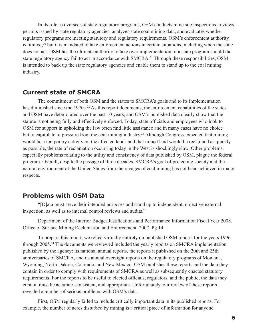In its role as overseer of state regulatory programs, OSM conducts mine site inspections, reviews permits issued by state regulatory agencies, analyzes state coal mining data, and evaluates whether regulatory programs are meeting statutory and regulatory requirements. OSM's enforcement authority is limited,<sup>20</sup> but it is mandated to take enforcement actions in certain situations, including when the state does not act. OSM has the ultimate authority to take over implementation of a state program should the state regulatory agency fail to act in accordance with SMCRA.<sup>21</sup> Through these responsibilities, OSM is intended to back up the state regulatory agencies and enable them to stand up to the coal mining industry.

#### **Current state of SMCRA**

The commitment of both OSM and the states to SMCRA's goals and to its implementation has diminished since the 1970s.<sup>22</sup> As this report documents, the enforcement capabilities of the states and OSM have deteriorated over the past 10 years, and OSM's published data clearly show that the statute is not being fully and effectively enforced. Today, state officials and employees who look to OSM for support in upholding the law often find little assistance and in many cases have no choice but to capitulate to pressure from the coal mining industry.<sup>23</sup> Although Congress expected that mining would be a temporary activity on the affected lands and that mined land would be reclaimed as quickly as possible, the rate of reclamation occurring today in the West is shockingly slow. Other problems, especially problems relating to the utility and consistency of data published by OSM, plague the federal program. Overall, despite the passage of three decades, SMCRA's goal of protecting society and the natural environment of the United States from the ravages of coal mining has not been achieved in major respects.

#### **Problems with OSM Data**

"[D]ata must serve their intended purposes and stand up to independent, objective external inspection, as well as to internal control reviews and audits."

Department of the Interior Budget Justifications and Performance Information Fiscal Year 2008. Office of Surface Mining Reclamation and Enforcement. 2007. Pg 14.

To prepare this report, we relied virtually entirely on published OSM reports for the years 1996 through 2005.<sup>24</sup> The documents we reviewed included the yearly reports on SMCRA implementation published by the agency: its national annual reports, the reports it published on the 20th and 25th anniversaries of SMCRA, and its annual oversight reports on the regulatory programs of Montana, Wyoming, North Dakota, Colorado, and New Mexico. OSM publishes these reports and the data they contain in order to comply with requirements of SMCRA as well as subsequently enacted statutory requirements. For the reports to be useful to elected officials, regulators, and the public, the data they contain must be accurate, consistent, and appropriate. Unfortunately, our review of these reports revealed a number of serious problems with OSM's data.

First, OSM regularly failed to include critically important data in its published reports. For example, the number of acres disturbed by mining is a critical piece of information for anyone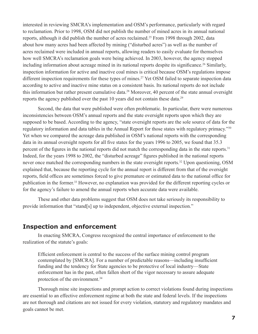interested in reviewing SMCRA's implementation and OSM's performance, particularly with regard to reclamation. Prior to 1998, OSM did not publish the number of mined acres in its annual national reports, although it did publish the number of acres reclaimed.<sup>25</sup> From 1998 through 2002, data about how many acres had been affected by mining ("disturbed acres") as well as the number of acres reclaimed were included in annual reports, allowing readers to easily evaluate for themselves how well SMCRA's reclamation goals were being achieved. In 2003, however, the agency stopped including information about acreage mined in its national reports despite its significance.<sup>26</sup> Similarly, inspection information for active and inactive coal mines is critical because OSM's regulations impose different inspection requirements for these types of mines.<sup>27</sup> Yet OSM failed to separate inspection data according to active and inactive mine status on a consistent basis. Its national reports do not include this information but rather present cumulative data.<sup>28</sup> Moreover, 40 percent of the state annual oversight reports the agency published over the past 10 years did not contain these data.<sup>29</sup>

Second, the data that were published were often problematic. In particular, there were numerous inconsistencies between OSM's annual reports and the state oversight reports upon which they are supposed to be based. According to the agency, "state oversight reports are the sole source of data for the regulatory information and data tables in the Annual Report for those states with regulatory primacy."30 Yet when we compared the acreage data published in OSM's national reports with the corresponding data in its annual oversight reports for all five states for the years 1996 to 2005, we found that 35.3 percent of the figures in the national reports did not match the corresponding data in the state reports.<sup>31</sup> Indeed, for the years 1998 to 2002, the "disturbed acreage" figures published in the national reports never once matched the corresponding numbers in the state oversight reports.<sup>32</sup> Upon questioning, OSM explained that, because the reporting cycle for the annual report is different from that of the oversight reports, field offices are sometimes forced to give premature or estimated data to the national office for publication in the former.33 However, no explanation was provided for the different reporting cycles or for the agency's failure to amend the annual reports when accurate data were available.

These and other data problems suggest that OSM does not take seriously its responsibility to provide information that "stand[s] up to independent, objective external inspection."

#### **Inspection and enforcement**

In enacting SMCRA, Congress recognized the central importance of enforcement to the realization of the statute's goals:

Efficient enforcement is central to the success of the surface mining control program contemplated by [SMCRA]. For a number of predictable reasons—including insufficient funding and the tendency for State agencies to be protective of local industry—State enforcement has in the past, often fallen short of the vigor necessary to assure adequate protection of the environment.<sup>34</sup>

Thorough mine site inspections and prompt action to correct violations found during inspections are essential to an effective enforcement regime at both the state and federal levels. If the inspections are not thorough and citations are not issued for every violation, statutory and regulatory mandates and goals cannot be met.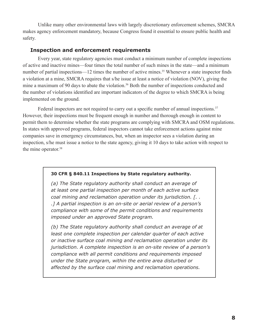Unlike many other environmental laws with largely discretionary enforcement schemes, SMCRA makes agency enforcement mandatory, because Congress found it essential to ensure public health and safety.

#### **Inspection and enforcement requirements**

Every year, state regulatory agencies must conduct a minimum number of complete inspections of active and inactive mines—four times the total number of such mines in the state—and a minimum number of partial inspections—12 times the number of active mines.<sup>35</sup> Whenever a state inspector finds a violation at a mine, SMCRA requires that s/he issue at least a notice of violation (NOV), giving the mine a maximum of 90 days to abate the violation.<sup>36</sup> Both the number of inspections conducted and the number of violations identified are important indicators of the degree to which SMCRA is being implemented on the ground.

Federal inspectors are not required to carry out a specific number of annual inspections.<sup>37</sup> However, their inspections must be frequent enough in number and thorough enough in content to permit them to determine whether the state programs are complying with SMCRA and OSM regulations. In states with approved programs, federal inspectors cannot take enforcement actions against mine companies save in emergency circumstances, but, when an inspector sees a violation during an inspection, s/he must issue a notice to the state agency, giving it 10 days to take action with respect to the mine operator.<sup>38</sup>

#### **30 CFR § 840.11 Inspections by State regulatory authority.**

*(a) The State regulatory authority shall conduct an average of at least one partial inspection per month of each active surface coal mining and reclamation operation under its jurisdiction. [. . .] A partial inspection is an on-site or aerial review of a person's compliance with some of the permit conditions and requirements imposed under an approved State program.*

*(b) The State regulatory authority shall conduct an average of at*  least one complete inspection per calendar quarter of each active *or inactive surface coal mining and reclamation operation under its jurisdiction. A complete inspection is an on-site review of a person's compliance with all permit conditions and requirements imposed under the State program, within the entire area disturbed or affected by the surface coal mining and reclamation operations.*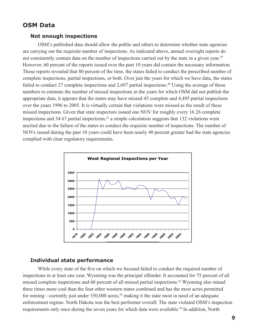#### **OSM Data**

#### **Not enough inspections**

OSM's published data should allow the public and others to determine whether state agencies are carrying out the requisite number of inspections. As indicated above, annual oversight reports do not consistently contain data on the number of inspections carried out by the state in a given year.<sup>39</sup> However, 60 percent of the reports issued over the past 10 years did contain the necessary information. These reports revealed that 80 percent of the time, the states failed to conduct the prescribed number of complete inspections, partial inspections, or both. Over just the years for which we have data, the states failed to conduct 27 complete inspections and 2,697 partial inspections.<sup>40</sup> Using the average of those numbers to estimate the number of missed inspections in the years for which OSM did not publish the appropriate data, it appears that the states may have missed 45 complete and 4,495 partial inspections over the years 1996 to 2005. It is virtually certain that violations were missed as the result of these missed inspections. Given that state inspectors issued one NOV for roughly every 16.26 complete inspections and  $34.67$  partial inspections,<sup>41</sup> a simple calculation suggests that 132 violations went uncited due to the failure of the states to conduct the requisite number of inspections. The number of NOVs issued during the past 10 years could have been nearly 40 percent greater had the state agencies complied with clear regulatory requirements.



#### **Individual state performance**

While every state of the five on which we focused failed to conduct the required number of inspections in at least one year, Wyoming was the principal offender. It accounted for 75 percent of all missed complete inspections and 60 percent of all missed partial inspections.42 Wyoming also mined three times more coal than the four other western states combined and has the most acres permitted for mining—currently just under 350,000 acres,<sup>43</sup> making it the state most in need of an adequate enforcement regime. North Dakota was the best performer overall: The state violated OSM's inspection requirements only once during the seven years for which data were available.<sup>44</sup> In addition, North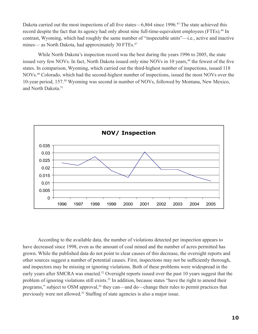Dakota carried out the most inspections of all five states—6,864 since 1996.<sup>45</sup> The state achieved this record despite the fact that its agency had only about nine full-time-equivalent employees (FTEs).<sup>46</sup> In contrast, Wyoming, which had roughly the same number of "inspectable units"—i.e., active and inactive mines— as North Dakota, had approximately 30 FTEs.<sup>47</sup>

While North Dakota's inspection record was the best during the years 1996 to 2005, the state issued very few NOVs. In fact, North Dakota issued only nine NOVs in 10 years,<sup>48</sup> the fewest of the five states. In comparison, Wyoming, which carried out the third-highest number of inspections, issued 118 NOVs.49 Colorado, which had the second-highest number of inspections, issued the most NOVs over the 10-year period, 157.50 Wyoming was second in number of NOVs, followed by Montana, New Mexico, and North Dakota.<sup>51</sup>



According to the available data, the number of violations detected per inspection appears to have decreased since 1998, even as the amount of coal mined and the number of acres permitted has grown. While the published data do not point to clear causes of this decrease, the oversight reports and other sources suggest a number of potential causes. First, inspections may not be sufficiently thorough, and inspectors may be missing or ignoring violations. Both of these problems were widespread in the early years after SMCRA was enacted.<sup>52</sup> Oversight reports issued over the past 10 years suggest that the problem of ignoring violations still exists.<sup>53</sup> In addition, because states "have the right to amend their programs," subject to OSM approval,<sup>54</sup> they can—and do—change their rules to permit practices that previously were not allowed.55 Staffing of state agencies is also a major issue.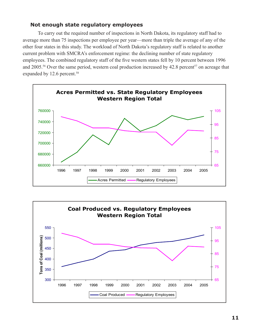#### **Not enough state regulatory employees**

To carry out the required number of inspections in North Dakota, its regulatory staff had to average more than 75 inspections per employee per year—more than triple the average of any of the other four states in this study. The workload of North Dakota's regulatory staff is related to another current problem with SMCRA's enforcement regime: the declining number of state regulatory employees. The combined regulatory staff of the five western states fell by 10 percent between 1996 and 2005.<sup>56</sup> Over the same period, western coal production increased by 42.8 percent<sup>57</sup> on acreage that expanded by 12.6 percent.<sup>58</sup>



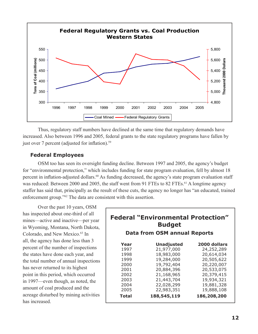

Thus, regulatory staff numbers have declined at the same time that regulatory demands have increased. Also between 1996 and 2005, federal grants to the state regulatory programs have fallen by just over 7 percent (adjusted for inflation).<sup>59</sup>

#### **Federal Employees**

OSM too has seen its oversight funding decline. Between 1997 and 2005, the agency's budget for "environmental protection," which includes funding for state program evaluation, fell by almost 18 percent in inflation-adjusted dollars.<sup>60</sup> As funding decreased, the agency's state program evaluation staff was reduced: Between 2000 and 2005, the staff went from 91 FTEs to 82 FTEs.<sup>61</sup> A longtime agency staffer has said that, principally as the result of these cuts, the agency no longer has "an educated, trained enforcement group."62 The data are consistent with this assertion.

Over the past 10 years, OSM has inspected about one-third of all mines—active and inactive—per year in Wyoming, Montana, North Dakota, Colorado, and New Mexico.<sup>63</sup> In all, the agency has done less than 3 percent of the number of inspections the states have done each year, and the total number of annual inspections has never returned to its highest point in this period, which occurred in 1997—even though, as noted, the amount of coal produced and the acreage disturbed by mining activities has increased.

| <b>Federal "Environmental Protection"</b><br><b>Budget</b><br><b>Data from OSM annual Reports</b> |                   |              |  |
|---------------------------------------------------------------------------------------------------|-------------------|--------------|--|
| Year                                                                                              | <b>Unadjusted</b> | 2000 dollars |  |
| 1997                                                                                              | 21,977,000        | 24,252,289   |  |
| 1998                                                                                              | 18,983,000        | 20,614,034   |  |
| 1999                                                                                              | 19,284,000        | 20,505,622   |  |
| 2000                                                                                              | 19,792,404        | 20,220,007   |  |
| 2001                                                                                              | 20,884,396        | 20,533,075   |  |
| 2002                                                                                              | 21,168,965        | 20,379,415   |  |
| 2003                                                                                              | 21,443,704        | 19,934,321   |  |
| 2004                                                                                              | 22,028,299        | 19,881,328   |  |
| 2005                                                                                              | 22,983,351        | 19,888,108   |  |
| Total                                                                                             | 188,545,119       | 186,208,200  |  |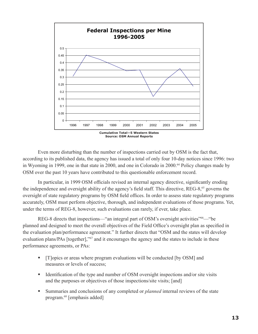

Even more disturbing than the number of inspections carried out by OSM is the fact that, according to its published data, the agency has issued a total of only four 10-day notices since 1996: two in Wyoming in 1999, one in that state in 2000, and one in Colorado in 2000.<sup>64</sup> Policy changes made by OSM over the past 10 years have contributed to this questionable enforcement record.

In particular, in 1999 OSM officials revised an internal agency directive, significantly eroding the independence and oversight ability of the agency's field staff. This directive, REG-8,65 governs the oversight of state regulatory programs by OSM field offices. In order to assess state regulatory programs accurately, OSM must perform objective, thorough, and independent evaluations of those programs. Yet, under the terms of REG-8, however, such evaluations can rarely, if ever, take place.

REG-8 directs that inspections—"an integral part of OSM's oversight activities"<sup>66</sup>— "be planned and designed to meet the overall objectives of the Field Office's oversight plan as specified in the evaluation plan/performance agreement." It further directs that "OSM and the states will develop evaluation plans/PAs [together],"67 and it encourages the agency and the states to include in these performance agreements, or PAs:

- [T]opics or areas where program evaluations will be conducted [by OSM] and measures or levels of success;
- Identification of the type and number of OSM oversight inspections and/or site visits and the purposes or objectives of those inspections/site visits; [and]
- Summaries and conclusions of any completed or *planned* internal reviews of the state program.68 [emphasis added]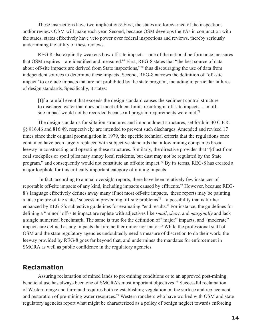These instructions have two implications: First, the states are forewarned of the inspections and/or reviews OSM will make each year. Second, because OSM develops the PAs in conjunction with the states, states effectively have veto power over federal inspections and reviews, thereby seriously undermining the utility of these reviews.

REG-8 also explicitly weakens how off-site impacts—one of the national performance measures that OSM requires—are identified and measured.<sup>69</sup> First, REG-8 states that "the best source of data about off-site impacts are derived from State inspections,"70 thus discouraging the use of data from independent sources to determine these impacts. Second, REG-8 narrows the definition of "off-site impact" to exclude impacts that are not prohibited by the state program, including in particular failures of design standards. Specifically, it states:

[I]f a rainfall event that exceeds the design standard causes the sediment control structure to discharge water that does not meet effluent limits resulting in off-site impacts…an offsite impact would not be recorded because all program requirements were met.<sup>71</sup>

The design standards for siltation structures and impoundment structures, set forth in 30 C.F.R. §§ 816.46 and 816.49, respectively, are intended to prevent such discharges. Amended and revised 17 times since their original promulgation in 1979, the specific technical criteria that the regulations once contained have been largely replaced with subjective standards that allow mining companies broad leeway in constructing and operating these structures. Similarly, the directive provides that "[d]ust from coal stockpiles or spoil piles may annoy local residents, but dust may not be regulated by the State program," and consequently would not constitute an off-site impact.72 By its terms, REG-8 has created a major loophole for this critically important category of mining impacts.

 In fact, according to annual oversight reports, there have been relatively few instances of reportable off-site impacts of any kind, including impacts caused by effluents.73 However, because REG-8's language effectively defines away many if not most off-site impacts, these reports may be painting a false picture of the states' success in preventing off-site problems<sup>74</sup>—a possibility that is further enhanced by REG-8's subjective guidelines for evaluating "end results." For instance, the guidelines for defining a "minor" off-site impact are replete with adjectives like *small*, *short*, and *marginally* and lack a single numerical benchmark. The same is true for the definition of "major" impacts, and "moderate" impacts are defined as any impacts that are neither minor nor major.<sup>75</sup> While the professional staff of OSM and the state regulatory agencies undoubtedly need a measure of discretion to do their work, the leeway provided by REG-8 goes far beyond that, and undermines the mandates for enforcement in SMCRA as well as public confidence in the regulatory agencies.

#### **Reclamation**

Assuring reclamation of mined lands to pre-mining conditions or to an approved post-mining beneficial use has always been one of SMCRA's most important objectives.<sup>76</sup> Successful reclamation of Western range and farmland requires both re-establishing vegetation on the surface and replacement and restoration of pre-mining water resources.<sup>77</sup> Western ranchers who have worked with OSM and state regulatory agencies report what might be characterized as a policy of benign neglect towards enforcing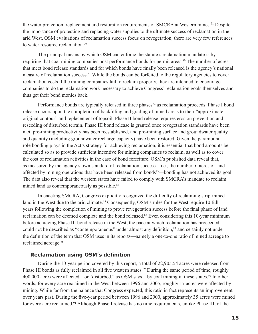the water protection, replacement and restoration requirements of SMCRA at Western mines.78 Despite the importance of protecting and replacing water supplies to the ultimate success of reclamation in the arid West, OSM evaluations of reclamation success focus on revegetation; there are very few references to water resource reclamation<sup>79</sup>

The principal means by which OSM can enforce the statute's reclamation mandate is by requiring that coal mining companies post performance bonds for permit areas.<sup>80</sup> The number of acres that meet bond release standards and for which bonds have finally been released is the agency's national measure of reclamation success.81 While the bonds can be forfeited to the regulatory agencies to cover reclamation costs if the mining companies fail to reclaim properly, they are intended to encourage companies to do the reclamation work necessary to achieve Congress' reclamation goals themselves and thus get their bond monies back.

Performance bonds are typically released in three phases<sup>82</sup> as reclamation proceeds. Phase I bond release occurs upon the completion of backfilling and grading of mined areas to their "approximate original contour" and replacement of topsoil. Phase II bond release requires erosion prevention and reseeding of disturbed terrain. Phase III bond release is granted once revegetation standards have been met, pre-mining productivity has been reestablished, and pre-mining surface and groundwater quality and quantity (including groundwater recharge capacity) have been restored. Given the paramount role bonding plays in the Act's strategy for achieving reclamation, it is essential that bond amounts be calculated so as to provide sufficient incentive for mining companies to reclaim, as well as to cover the cost of reclamation activities in the case of bond forfeiture. OSM's published data reveal that, as measured by the agency's own standard of reclamation success—i.e., the number of acres of land affected by mining operations that have been released from bonds<sup>83</sup>—bonding has not achieved its goal. The data also reveal that the western states have failed to comply with SMCRA's mandate to reclaim mined land as contemporaneously as possible.<sup>84</sup>

In enacting SMCRA, Congress explicitly recognized the difficulty of reclaiming strip-mined land in the West due to the arid climate.<sup>85</sup> Consequently, OSM's rules for the West require 10 full years following the completion of mining to prove revegetation success before the final phase of land reclamation can be deemed complete and the bond released.<sup>86</sup> Even considering this 10-year minimum before achieving Phase III bond release in the West, the pace at which reclamation has proceeded could not be described as "contemporaneous" under almost any definition, <sup>87</sup> and certainly not under the definition of the term that OSM uses in its reports—namely a one-to-one ratio of mined acreage to reclaimed acreage.<sup>88</sup>

#### **Reclamation using OSM's definition**

During the 10-year period covered by this report, a total of 22,905.54 acres were released from Phase III bonds as fully reclaimed in all five western states.<sup>89</sup> During the same period of time, roughly 400,000 acres were affected—or "disturbed," as OSM says—by coal mining in these states.<sup>90</sup> In other words, for every acre reclaimed in the West between 1996 and 2005, roughly 17 acres were affected by mining. While far from the balance that Congress expected, this ratio in fact represents an improvement over years past. During the five-year period between 1996 and 2000, approximately 35 acres were mined for every acre reclaimed.<sup>91</sup> Although Phase I release has no time requirements, unlike Phase III, of the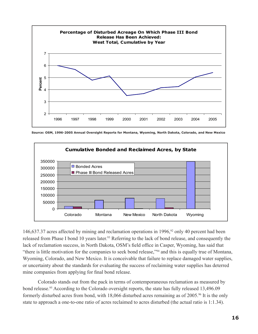

**Source: OSM, 1996-2005 Annual Oversight Reports for Montana, Wyoming, North Dakota, Colorado, and New Mexico**



146,637.37 acres affected by mining and reclamation operations in 1996,<sup>92</sup> only 40 percent had been released from Phase I bond 10 years later.<sup>93</sup> Referring to the lack of bond release, and consequently the lack of reclamation success, in North Dakota, OSM's field office in Casper, Wyoming, has said that "there is little motivation for the companies to seek bond release,"94 and this is equally true of Montana, Wyoming, Colorado, and New Mexico. It is conceivable that failure to replace damaged water supplies, or uncertainty about the standards for evaluating the success of reclaiming water supplies has deterred mine companies from applying for final bond release.

Colorado stands out from the pack in terms of contemporaneous reclamation as measured by bond release.<sup>95</sup> According to the Colorado oversight reports, the state has fully released 13,496.09 formerly disturbed acres from bond, with 18,066 disturbed acres remaining as of 2005.<sup>96</sup> It is the only state to approach a one-to-one ratio of acres reclaimed to acres disturbed (the actual ratio is 1:1.34).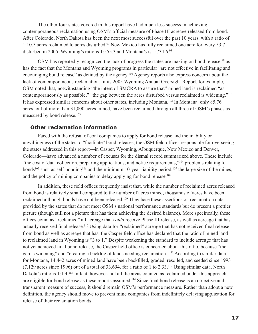The other four states covered in this report have had much less success in achieving contemporaneous reclamation using OSM's official measure of Phase III acreage released from bond. After Colorado, North Dakota has been the next most successful over the past 10 years, with a ratio of 1:10.5 acres reclaimed to acres disturbed.<sup>97</sup> New Mexico has fully reclaimed one acre for every 53.7 disturbed in 2005. Wyoming's ratio is 1:555.3 and Montana's is 1:734.6.98

OSM has repeatedly recognized the lack of progress the states are making on bond release,<sup>99</sup> as has the fact that the Montana and Wyoming programs in particular "are not effective in facilitating and encouraging bond release" as defined by the agency.100 Agency reports also express concern about the lack of contemporaneous reclamation. In its 2005 Wyoming Annual Oversight Report, for example, OSM noted that, notwithstanding "the intent of SMCRA to assure that" mined land is reclaimed "as contemporaneously as possible," "the gap between the acres disturbed versus reclaimed is widening."101 It has expressed similar concerns about other states, including Montana.102 In Montana, only 85.76 acres, out of more than 31,000 acres mined, have been reclaimed through all three of OSM's phases as measured by bond release.<sup>103</sup>

#### **Other reclamation information**

Faced with the refusal of coal companies to apply for bond release and the inability or unwillingness of the states to "facilitate" bond releases, the OSM field offices responsible for overseeing the states addressed in this report—in Casper, Wyoming, Albuquerque, New Mexico and Denver, Colorado—have advanced a number of excuses for the dismal record summarized above. These include "the cost of data collection, preparing applications, and notice requirements,"104 problems relating to bonds<sup>105</sup> such as self-bonding<sup>106</sup> and the minimum 10-year liability period,<sup>107</sup> the large size of the mines, and the policy of mining companies to delay applying for bond release.<sup>108</sup>

In addition, these field offices frequently insist that, while the number of reclaimed acres released from bond is relatively small compared to the number of acres mined, thousands of acres have been reclaimed although bonds have not been released.<sup>109</sup> They base these assertions on reclamation data provided by the states that do not meet OSM's national performance standards but do present a prettier picture (though still not a picture that has them achieving the desired balance). More specifically, these offices count as "reclaimed" all acreage that *could* receive Phase III release, as well as acreage that has actually received final release.110 Using data for "reclaimed" acreage that has not received final release from bond as well as acreage that has, the Casper field office has declared that the ratio of mined land to reclaimed land in Wyoming is "3 to 1." Despite weakening the standard to include acreage that has not yet achieved final bond release, the Casper field office is concerned about this ratio, because "the gap is widening" and "creating a backlog of lands needing reclamation."111 According to similar data for Montana, 14,442 acres of mined land have been backfilled, graded, resoiled, and seeded since 1993 (7,129 acres since 1996) out of a total of 33,694, for a ratio of 1 to 2.33.112 Using similar data, North Dakota's ratio is 1:1.4.<sup>113</sup> In fact, however, not all the areas counted as reclaimed under this approach are eligible for bond release as these reports assumed.114 Since final bond release is an objective and transparent measure of success, it should remain OSM's performance measure. Rather than adopt a new definition, the agency should move to prevent mine companies from indefinitely delaying application for release of their reclamation bonds.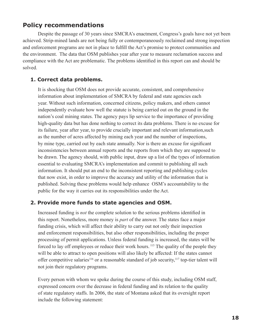#### **Policy recommendations**

Despite the passage of 30 years since SMCRA's enactment, Congress's goals have not yet been achieved. Strip-mined lands are not being fully or contemporaneously reclaimed and strong inspection and enforcement programs are not in place to fulfill the Act's promise to protect communities and the environment. The data that OSM publishes year after year to measure reclamation success and compliance with the Act are problematic. The problems identified in this report can and should be solved.

#### **1. Correct data problems.**

It is shocking that OSM does not provide accurate, consistent, and comprehensive information about implementation of SMCRA by federal and state agencies each year. Without such information, concerned citizens, policy makers, and others cannot independently evaluate how well the statute is being carried out on the ground in the nation's coal mining states. The agency pays lip service to the importance of providing high-quality data but has done nothing to correct its data problems. There is no excuse for its failure, year after year, to provide crucially important and relevant information,such as the number of acres affected by mining each year and the number of inspections, by mine type, carried out by each state annually. Nor is there an excuse for significant inconsistencies between annual reports and the reports from which they are supposed to be drawn. The agency should, with public input, draw up a list of the types of information essential to evaluating SMCRA's implementation and commit to publishing all such information. It should put an end to the inconsistent reporting and publishing cycles that now exist, in order to improve the accuracy and utility of the information that is published. Solving these problems would help enhance OSM's accountability to the public for the way it carries out its responsibilities under the Act.

#### **2. Provide more funds to state agencies and OSM.**

Increased funding is *not* the complete solution to the serious problems identified in this report. Nonetheless, more money is *part* of the answer. The states face a major funding crisis, which will affect their ability to carry out not only their inspection and enforcement responsibilities, but also other responsibilities, including the proper processing of permit applications. Unless federal funding is increased, the states will be forced to lay off employees or reduce their work hours. <sup>115</sup> The quality of the people they will be able to attract to open positions will also likely be affected: If the states cannot offer competitive salaries<sup>116</sup> or a reasonable standard of job security,<sup>117</sup> top-tier talent will not join their regulatory programs.

Every person with whom we spoke during the course of this study, including OSM staff, expressed concern over the decrease in federal funding and its relation to the quality of state regulatory staffs. In 2006, the state of Montana asked that its oversight report include the following statement: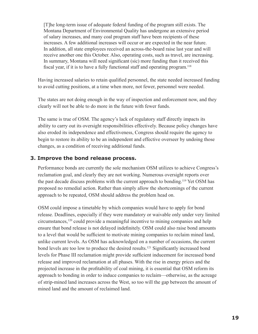[T]he long-term issue of adequate federal funding of the program still exists. The Montana Department of Environmental Quality has undergone an extensive period of salary increases, and many coal program staff have been recipients of these increases. A few additional increases will occur or are expected in the near future. In addition, all state employees received an across-the-board raise last year and will receive another one this October. Also, operating costs, such as travel, are increasing. In summary, Montana will need significant (sic) more funding than it received this fiscal year, if it is to have a fully functional staff and operating program.<sup>118</sup>

Having increased salaries to retain qualified personnel, the state needed increased funding to avoid cutting positions, at a time when more, not fewer, personnel were needed.

The states are not doing enough in the way of inspection and enforcement now, and they clearly will not be able to do more in the future with fewer funds.

The same is true of OSM. The agency's lack of regulatory staff directly impacts its ability to carry out its oversight responsibilities effectively. Because policy changes have also eroded its independence and effectiveness, Congress should require the agency to begin to restore its ability to be an independent and effective overseer by undoing those changes, as a condition of receiving additional funds.

#### **3. Improve the bond release process.**

Performance bonds are currently the sole mechanism OSM utilizes to achieve Congress's reclamation goal, and clearly they are not working. Numerous oversight reports over the past decade discuss problems with the current approach to bonding.119 Yet OSM has proposed no remedial action. Rather than simply allow the shortcomings of the current approach to be repeated, OSM should address the problem head on.

OSM could impose a timetable by which companies would have to apply for bond release. Deadlines, especially if they were mandatory or waivable only under very limited circumstances,120 could provide a meaningful incentive to mining companies and help ensure that bond release is not delayed indefinitely. OSM could also raise bond amounts to a level that would be sufficient to motivate mining companies to reclaim mined land, unlike current levels. As OSM has acknowledged on a number of occasions, the current bond levels are too low to produce the desired results.<sup>121</sup> Significantly increased bond levels for Phase III reclamation might provide sufficient inducement for increased bond release and improved reclamation at all phases. With the rise in energy prices and the projected increase in the profitability of coal mining, it is essential that OSM reform its approach to bonding in order to induce companies to reclaim—otherwise, as the acreage of strip-mined land increases across the West, so too will the gap between the amount of mined land and the amount of reclaimed land.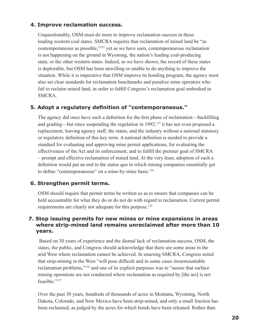#### **4. Improve reclamation success.**

Unquestionably, OSM must do more to improve reclamation success in these leading western coal states. SMCRA requires that reclamation of mined land be "as contemporaneous as possible,"122 yet as we have seen, contemporaneous reclamation is not happening on the ground in Wyoming, the nation's leading coal-producing state, or the other western states. Indeed, as we have shown, the record of these states is deplorable, but OSM has been unwilling or unable to do anything to improve the situation. While it is imperative that OSM improve its bonding program, the agency must also set clear standards for reclamation benchmarks and penalize mine operators who fail to reclaim mined land, in order to fulfill Congress's reclamation goal embodied in SMCRA.

#### **5. Adopt a regulatory definition of "contemporaneous."**

The agency did once have such a definition for the first phase of reclamation—backfilling and grading—but since suspending the regulation in  $1992$ ,<sup>123</sup> it has not even proposed a replacement, leaving agency staff, the states, and the industry without a national statutory or regulatory definition of this key term. A national definition is needed to provide a standard for evaluating and approving mine permit applications, for evaluating the effectiveness of the Act and its enforcement, and to fulfill the premier goal of SMCRA – prompt and effective reclamation of mined land. At the very least, adoption of such a definition would put an end to the status quo in which mining companies essentially get to define "contemporaneous" on a mine-by-mine basis.<sup>124</sup>

#### **6. Strengthen permit terms.**

OSM should require that permit terms be written so as to ensure that companies can be held accountable for what they do or do not do with regard to reclamation. Current permit requirements are clearly not adequate for this purpose.125

#### **7. Stop issuing permits for new mines or mine expansions in areas where strip-mined land remains unreclaimed after more than 10 years.**

 Based on 30 years of experience and the dismal lack of reclamation success, OSM, the states, the public, and Congress should acknowledge that there are some areas in the arid West where reclamation cannot be achieved. In enacting SMCRA, Congress noted that strip-mining in the West "will pose difficult and in some cases insurmountable reclamation problems,"126 and one of its explicit purposes was to "assure that surface mining operations are not conducted where reclamation as required by [the act] is not feasible."127

Over the past 30 years, hundreds of thousands of acres in Montana, Wyoming, North Dakota, Colorado, and New Mexico have been strip-mined, and only a small fraction has been reclaimed, as judged by the acres for which bonds have been released. Rather than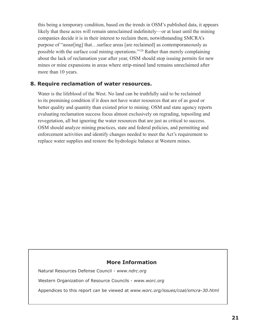this being a temporary condition, based on the trends in OSM's published data, it appears likely that these acres will remain unreclaimed indefinitely—or at least until the mining companies decide it is in their interest to reclaim them, notwithstanding SMCRA's purpose of "assur[ing] that…surface areas [are reclaimed] as contemporaneously as possible with the surface coal mining operations."128 Rather than merely complaining about the lack of reclamation year after year, OSM should stop issuing permits for new mines or mine expansions in areas where strip-mined land remains unreclaimed after more than 10 years.

#### **8. Require reclamation of water resources.**

Water is the lifeblood of the West. No land can be truthfully said to be reclaimed to its premining condition if it does not have water resources that are of as good or better quality and quantity than existed prior to mining. OSM and state agency reports evaluating reclamation success focus almost exclusively on regrading, topsoiling and revegetation, all but ignoring the water resources that are just as critical to success. OSM should analyze mining practices, state and federal policies, and permitting and enforcement activities and identify changes needed to meet the Act's requirement to replace water supplies and restore the hydrologic balance at Western mines.

#### **More Information**

Natural Resources Defense Council - *www.ndrc.org*

Western Organization of Resource Councils - *www.worc.org*

Appendices to this report can be viewed at *www.worc.org/issues/coal/smcra-30.html*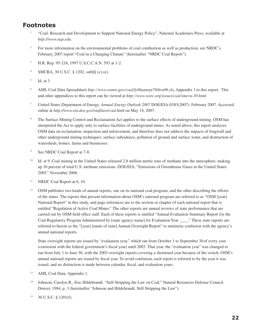#### **Footnotes**

- 1 "Coal: Research and Development to Support National Energy Policy", National Academies Press, available at *http://www.nap.edu*.
- 2 For more information on the environmental problems of coal combustion as well as production, see NRDC's February 2007 report "Coal in a Changing Climate" (hereinafter "NRDC Coal Report").
- 3 H.R. Rep. 95-218, 1997 U.S.C.C.A.N. 593 at 1-2.
- 4 SMCRA, 30 U.S.C. § 1202, sub§§ (c)-(e).
- 5 Id. at 3.
- 6 AML Coal Data Spreadsheet *http://www.osmre.gov/coal/fy06annrpt78thru06.xls*, Appendix 1 to this report. This and other appendices to this report can be viewed at *http://www.worc.org/issues/coal/smcra-30.html*.
- <sup>7</sup>United States Department of Energy. *Annual Energy Outlook 2007* DOE/EIA-0383(2007). February 2007. Accessed online at *http://www.eia.doe.gov/oiaf/aeo/coal.htm*l on May 14, 2007.
- 8 The Surface Mining Control and Reclamation Act applies to the surface effects of underground mining. OSM has interpreted the Act to apply only to surface facilities of underground mines. As noted above, this report analyzes OSM data on reclamation, inspection and enforcement, and therefore does not address the impacts of longwall and other underground mining techniques: surface subsidence, pollution of ground and surface water, and destruction of watersheds, homes, farms and businesses.
- 9 See NRDC Coal Report at 7-8.
- <sup>10</sup> Id. at 9. Coal mining in the United States released 2.8 million metric tons of methane into the atmosphere, making up 10 percent of total U.S. methane emissions. DOE/EIA, "Emissions of Greenhouse Gases in the United States 2005." November 2006.
- <sup>11</sup> NRDC Coal Report at 6, 10.
- <sup>12</sup> OSM publishes two kinds of annual reports, one on its national coal program, and the other describing the efforts of the states. The reports that present information about OSM's national program are referred to as "OSM [year] National Report" in this study, and page references are to the section or chapter of each national report that is entitled "Regulation of Active Coal Mines." The other reports are annual reviews of state performance that are carried out by OSM field office staff. Each of these reports is entitled "Annual Evaluation Summary Report for the Coal Regulatory Program Administered by [state agency name] for Evaluation Year \_\_\_\_." These state reports are referred to herein as the "[year] [name of state] Annual Oversight Report" to minimize confusion with the agency's annual national reports.

 State oversight reports are issued by "evaluation year," which ran from October 1 to September 30 of every year (consistent with the federal government's fiscal year) until 2003. That year, the "evaluation year" was changed to run from July 1 to June 30, with the 2003 oversight reports covering a shortened year because of the switch. OSM's annual national reports are issued by fiscal year. To avoid confusion, each report is referred to by the year it was issued, and no distinction is made between calendar, fiscal, and evaluation years.

- <sup>13</sup> AML Coal Data, Appendix 1.
- <sup>14</sup> Johnson, Carolyn R., Eric Hildebrandt. "Still Stripping the Law on Coal." Natural Resources Defense Council. Denver, 1984, p. 3 (hereinafter "Johnson and Hildebrandt, Still Stripping the Law").
- 15 30 U.S.C. § 1201(f).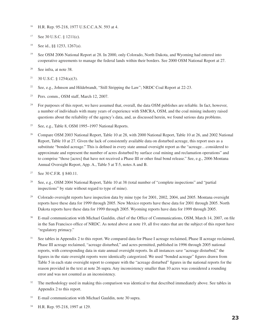- <sup>16</sup> H.R. Rep. 95-218, 1977 U.S.C.C.A.N. 593 at 4.
- 17 See 30 U.S.C. § 1211(c).
- <sup>18</sup> See id., §§ 1253, 1267(a).
- <sup>19</sup> See OSM 2006 National Report at 28. In 2000, only Colorado, North Dakota, and Wyoming had entered into cooperative agreements to manage the federal lands within their borders. See 2000 OSM National Report at 27.
- <sup>20</sup> See infra, at note 38.
- $21$  30 U.S.C. § 1254(a)(3).
- <sup>22</sup> See, e.g., Johnson and Hildebrandt, "Still Stripping the Law"; NRDC Coal Report at 22-23.
- <sup>23</sup> Pers. comm., OSM staff, March 12, 2007.
- <sup>24</sup> For purposes of this report, we have assumed that, overall, the data OSM publishes are reliable. In fact, however, a number of individuals with many years of experience with SMCRA, OSM, and the coal mining industry raised questions about the reliability of the agency's data, and, as discussed herein, we found serious data problems.
- <sup>25</sup> See, e.g., Table 8, OSM 1995–1997 National Reports.
- <sup>26</sup> Compare OSM 2003 National Report, Table 10 at 28, with 2000 National Report, Table 10 at 26, and 2002 National Report, Table 10 at 27. Given the lack of consistently available data on disturbed acreage, this report uses as a substitute "bonded acreage." This is defined in every state annual oversight report as the "acreage…considered to approximate and represent the number of acres disturbed by surface coal mining and reclamation operations" and to comprise "those [acres] that have not received a Phase III or other final bond release." See, e.g., 2006 Montana Annual Oversight Report, App. A., Table 5 at T-5, notes A and B.
- <sup>27</sup> See 30 C.F.R. § 840.11.
- <sup>28</sup> See, e.g., OSM 2004 National Report, Table 10 at 38 (total number of "complete inspections" and "partial inspections" by state without regard to type of mine).
- <sup>29</sup> Colorado oversight reports have inspection data by mine type for 2001, 2002, 2004, and 2005. Montana oversight reports have these data for 1999 through 2005. New Mexico reports have these data for 2001 through 2005. North Dakota reports have these data for 1999 through 2005. Wyoming reports have data for 1999 through 2005.
- <sup>30</sup> E-mail communication with Michael Gauldin, chief of the Office of Communications, OSM, March 14, 2007, on file in the San Francisco office of NRDC. As noted above at note 19, all five states that are the subject of this report have "regulatory primacy."
- See tables in Appendix 2 to this report. We compared data for Phase I acreage reclaimed, Phase II acreage reclaimed, Phase III acreage reclaimed, "acreage disturbed," and acres permitted, published in 1996 through 2005 national reports, with corresponding data in state annual oversight reports. In all instances save "acreage disturbed," the figures in the state oversight reports were identically categorized. We used "bonded acreage" figures drawn from Table 5 in each state oversight report to compare with the "acreage disturbed" figures in the national reports for the reason provided in the text at note 26 supra. Any inconsistency smaller than 10 acres was considered a rounding error and was not counted as an inconsistency.
- <sup>32</sup> The methodology used in making this comparison was identical to that described immediately above. See tables in Appendix 2 to this report.
- <sup>33</sup> E-mail communication with Michael Gauldin, note 30 supra.
- 34 H.R. Rep. 95-218, 1997 at 129.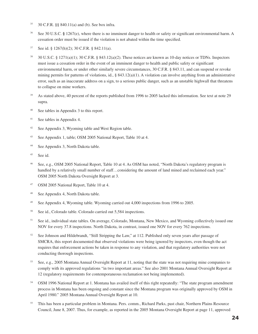- <sup>35</sup> 30 C.F.R. §§ 840.11(a) and (b). See box infra.
- <sup>36</sup> See 30 U.S.C. **§** 1267(e), where there is no imminent danger to health or safety or significant environmental harm. A cessation order must be issued if the violation is not abated within the time specified.
- <sup>37</sup> See id. § 1267(h)(2); 30 C.F.R. § 842.11(a).
- <sup>38</sup> 30 U.S.C. § 1271(a)(1); 30 C.F.R. § 843.12(a)(2). These notices are known as 10-day notices or TDNs. Inspectors must issue a cessation order in the event of an imminent danger to health and public safety or significant environmental harm, or under other similarly severe circumstances, 30 C.F.R. § 843.11, and can suspend or revoke mining permits for patterns of violations, id., § 843.12(a)(1). A violation can involve anything from an administrative error, such as an inaccurate address on a sign, to a serious public danger, such as an unstable highwall that threatens to collapse on mine workers.
- <sup>39</sup> As stated above, 40 percent of the reports published from 1996 to 2005 lacked this information. See text at note 29 supra.
- <sup>40</sup> See tables in Appendix 3 to this report.
- <sup>41</sup> See tables in Appendix 4.
- <sup>42</sup> See Appendix 3, Wyoming table and West Region table.
- <sup>43</sup> See Appendix 1, table; OSM 2005 National Report, Table 10 at 4.
- <sup>44</sup> See Appendix 3, North Dakota table.
- <sup>45</sup> See id.
- See, e.g., OSM 2005 National Report, Table 10 at 4. As OSM has noted, "North Dakota's regulatory program is handled by a relatively small number of staff…considering the amount of land mined and reclaimed each year." OSM 2005 North Dakota Oversight Report at 3.
- <sup>47</sup> OSM 2005 National Report, Table 10 at 4.
- <sup>48</sup> See Appendix 4, North Dakota table.
- <sup>49</sup> See Appendix 4, Wyoming table. Wyoming carried out 4,000 inspections from 1996 to 2005.
- <sup>50</sup> See id., Colorado table. Colorado carried out 5,584 inspections.
- <sup>51</sup> See id., individual state tables. On average, Colorado, Montana, New Mexico, and Wyoming collectively issued one NOV for every 37.8 inspections. North Dakota, in contrast, issued one NOV for every 762 inspections.
- <sup>52</sup> See Johnson and Hildebrandt, "Still Stripping the Law," at 112. Published only seven years after passage of SMCRA, this report documented that observed violations were being ignored by inspectors, even though the act requires that enforcement actions be taken in response to any violation, and that regulatory authorities were not conducting thorough inspections.
- <sup>53</sup> See, e.g., 2005 Montana Annual Oversight Report at 11, noting that the state was not requiring mine companies to comply with its approved regulations "in two important areas." See also 2001 Montana Annual Oversight Report at 12 (regulatory requirements for contemporaneous reclamation not being implemented).
- <sup>54</sup> OSM 1996 National Report at 1. Montana has availed itself of this right repeatedly: "The state program amendment process in Montana has been ongoing and constant since the Montana program was originally approved by OSM in April 1980." 2005 Montana Annual Oversight Report at 10.
- <sup>55</sup> This has been a particular problem in Montana. Pers. comm., Richard Parks, past chair, Northern Plains Resource Council, June 8, 2007. Thus, for example, as reported in the 2005 Montana Oversight Report at page 11, approved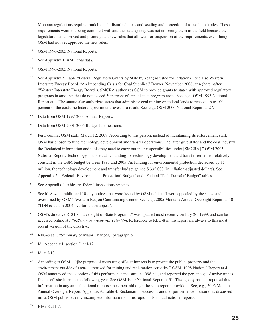Montana regulations required mulch on all disturbed areas and seeding and protection of topsoil stockpiles. These requirements were not being complied with and the state agency was not enforcing them in the field because the legislature had approved and promulgated new rules that allowed for suspension of the requirements, even though OSM had not yet approved the new rules.

- <sup>56</sup> OSM 1996-2005 National Reports.
- <sup>57</sup> See Appendix 1, AML coal data.
- <sup>58</sup> OSM 1996-2005 National Reports.
- <sup>59</sup> See Appendix 5, Table "Federal Regulatory Grants by State by Year (adjusted for inflation)." See also Western Interstate Energy Board, "An Impending Crisis for Coal Supplies," Denver, November 2006, at 4 (hereinafter "Western Interstate Energy Board"). SMCRA authorizes OSM to provide grants to states with approved regulatory programs in amounts that do not exceed 50 percent of annual state program costs. See, e.g., OSM 1996 National Report at 4. The statute also authorizes states that administer coal mining on federal lands to receive up to 100 percent of the costs the federal government saves as a result. See, e.g., OSM 2000 National Report at 27.
- <sup>60</sup> Data from OSM 1997-2005 Annual Reports.
- <sup>61</sup> Data from OSM 2001-2006 Budget Justifications.
- $62$  Pers. comm., OSM staff, March 12, 2007. According to this person, instead of maintaining its enforcement staff, OSM has chosen to fund technology development and transfer operations. The latter give states and the coal industry the "technical information and tools they need to carry out their responsibilities under [SMCRA]." OSM 2005 National Report, Technology Transfer, at 1. Funding for technology development and transfer remained relatively constant in the OSM budget between 1997 and 2005. As funding for environmental protection decreased by \$5 million, the technology development and transfer budget gained \$ 335,000 (in inflation-adjusted dollars). See Appendix 5, "Federal 'Environmental Protection' Budget" and "Federal 'Tech Transfer' Budget" tables.
- <sup>63</sup> See Appendix 4, tables re. federal inspections by state.
- <sup>64</sup> See id. Several additional 10-day notices that were issued by OSM field staff were appealed by the states and overturned by OSM's Western Region Coordinating Center. See, e.g., 2005 Montana Annual Oversight Report at 10 (TDN issued in 2004 overturned on appeal).
- <sup>65</sup> OSM's directive REG-8, "Oversight of State Programs," was updated most recently on July 26, 1999, and can be accessed online at *http://www.osmre.gov/directiv.htm*. References to REG-8 in this report are always to this most recent version of the directive.
- <sup>66</sup> REG-8 at 1, "Summary of Major Changes," paragraph b.
- <sup>67</sup> Id., Appendix I, section D at I-12.
- <sup>68</sup> Id. at I-13.
- <sup>69</sup> According to OSM, "[t]he purpose of measuring off-site impacts is to protect the public, property and the environment outside of areas authorized for mining and reclamation activities." OSM, 1998 National Report at 4. OSM announced the adoption of this performance measure in 1998, id., and reported the percentage of active mines free of off-site impacts the following year. See OSM 1999 National Report at 31. The agency has not reported this information in any annual national reports since then, although the state reports provide it. See, e.g., 2006 Montana Annual Oversight Report, Appendix A, Table 4. Reclamation success is another performance measure; as discussed infra, OSM publishes only incomplete information on this topic in its annual national reports.
- $70$  REG-8 at I-7.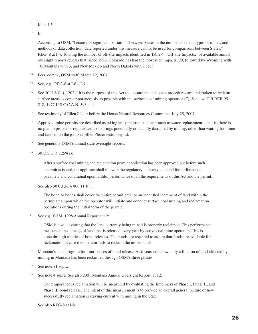- $71$  Id. at I-5.
- <sup>72</sup> Id.
- <sup>73</sup> According to OSM, "because of significant variations between States in the number, size and types of mines, and methods of data collection, data reported under this measure cannot be used for comparisons between States." REG- 8 at I-4. Totaling the number of off-site impacts identified in Table 4, "Off-site Impacts," of available annual oversight reports reveals that, since 1996, Colorado has had the most such impacts, 29, followed by Wyoming with 16, Montana with 3, and New Mexico and North Dakota with 2 each.
- <sup>74</sup> Pers. comm., OSM staff, March 12, 2007.
- $75$  See, e.g., REG-8 at I-6 I-7.
- <sup>76</sup> See 30 U.S.C. § 1202 ("It is the purpose of this Act to…assure that adequate procedures are undertaken to reclaim surface areas as contemporaneously as possible with the surface coal mining operations."). See also H.R.REP, 95- 218, 1977 U.S.C.C.A.N. 593 at 4.
- <sup>77</sup> See testimony of Ellen Pfister before the House Natural Resources Committee, July 25, 2007.
- $78$  Approved mine permits are described as taking an "opportunistic" approach to water replacement that is, there is no plan to protect or replace wells or springs potentially or actually disrupted by mining, other than waiting for "time and fate" to do the job. See Ellen Pfister testimony, id.
- See generally OSM's annual state oversight reports.
- 80 30 U.S.C. § 1259(a):

After a surface coal mining and reclamation permit application has been approved but before such a permit is issued, the applicant shall file with the regulatory authority…a bond for performance payable…and conditional upon faithful performance of all the requirements of this Act and the permit.

See also 30 C.F.R. § 800.11(b)(1):

 The bond or bonds shall cover the entire permit area, or an identified increment of land within the permit area upon which the operator will initiate and conduct surface coal mining and reclamation operations during the initial term of the permit.

81 See e.g., OSM, 1998 Annual Report at 12:

OSM is also…assuring that the land currently being mined is properly reclaimed. This performance measure is the acreage of land that is released every year by active coal mine operators. This is done through a series of bond releases. The bonds are required to assure that funds are available for reclamation in case the operator fails to reclaim the mined lands.

- 82 Montana's state program has four phases of bond release. As discussed below, only a fraction of land affected by mining in Montana has been reclaimed through OSM's three phases.
- <sup>83</sup> See note 81 supra.
- <sup>84</sup> See note 4 supra. See also 2001 Montana Annual Oversight Report, at 12:

 Contemporaneous reclamation will be measured by evaluating the timeliness of Phase I, Phase II, and Phase III bond release. The intent of this measurement is to provide an overall general picture of how successfully reclamation is staying current with mining in the State.

See also REG-8 at I-8.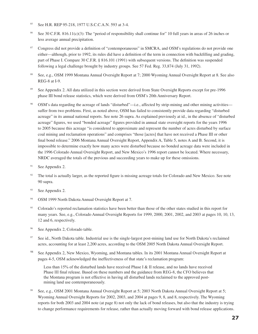- <sup>85</sup> See H.R. REP 95-218, 1977 U.S.C.C.A.N. 593 at 3-4.
- <sup>86</sup> See 30 C.F.R. 816.11(c)(3): The "period of responsibility shall continue for" 10 full years in areas of 26 inches or less average annual precipitation.
- <sup>87</sup> Congress did not provide a definition of "contemporaneous" in SMCRA, and OSM's regulations do not provide one either—although, prior to 1992, its rules did have a definition of the term in connection with backfilling and grading, part of Phase I. Compare 30 C.F.R. § 816.101 (1991) with subsequent versions. The definition was suspended following a legal challenge brought by industry groups. See 57 Fed. Reg. 33,874 (July 31, 1992).
- <sup>88</sup> See, e.g., OSM 1999 Montana Annual Oversight Report at 7; 2000 Wyoming Annual Oversight Report at 8. See also REG-8 at I-9.
- <sup>89</sup> See Appendix 2. All data utilized in this section were derived from State Oversight Reports except for pre-1996 phase III bond release statistics, which were derived from OSM's 20th Anniversary Report.
- <sup>90</sup> OSM's data regarding the acreage of lands "disturbed"—i.e., affected by strip-mining and other mining activities suffer from two problems. First, as noted above, OSM has failed to consistently provide data regarding "disturbed acreage" in its annual national reports. See note 26 supra. As explained previously at id., in the absence of "disturbed acreage" figures, we used "bonded acreage" figures provided in annual state oversight reports for the years 1996 to 2005 because this acreage "is considered to approximate and represent the number of acres disturbed by surface coal mining and reclamation operations" and comprises "those [acres] that have not received a Phase III or other final bond release." 2006 Montana Annual Oversight Report, Appendix A, Table 5, notes A and B. Second, it is impossible to determine exactly how many acres were disturbed because no bonded acreage data were included in the 1996 Colorado Annual Oversight Report, and New Mexico's 1996 report cannot be located. Where necessary, NRDC averaged the totals of the previous and succeeding years to make up for these omissions.
- $91$  See Appendix 2.
- <sup>92</sup> The total is actually larger, as the reported figure is missing acreage totals for Colorado and New Mexico. See note 90 supra.
- <sup>93</sup> See Appendix 2.
- <sup>94</sup> OSM 1999 North Dakota Annual Oversight Report at 7.
- <sup>95</sup> Colorado's reported reclamation statistics have been better than those of the other states studied in this report for many years. See, e.g., Colorado Annual Oversight Reports for 1999, 2000, 2001, 2002, and 2003 at pages 10, 10, 13, 12 and 6, respectively.
- <sup>96</sup> See Appendix 2, Colorado table.
- <sup>97</sup> See id., North Dakota table. Industrial use is the single-largest post-mining land use for North Dakota's reclaimed acres, accounting for at least 2,200 acres, according to the OSM 2005 North Dakota Annual Oversight Report.
- 98 See Appendix 2, New Mexico, Wyoming, and Montana tables. In its 2001 Montana Annual Oversight Report at pages 4-5, OSM acknowledged the ineffectiveness of that state's reclamation program:

Less than 15% of the disturbed lands have received Phase I & II release, and no lands have received Phase III final release. Based on these numbers and the guidance from REG-8, the CFO believes that the Montana program is not effective in having all disturbed lands reclaimed to the approved postmining land use contemporaneously.

See, e.g., OSM 2001 Montana Annual Oversight Report at 5; 2003 North Dakota Annual Oversight Report at 5; Wyoming Annual Oversight Reports for 2002, 2003, and 2004 at pages 9, 8, and 8, respectively. The Wyoming reports for both 2003 and 2004 note (at page 8) not only the lack of bond releases, but also that the industry is trying to change performance requirements for release, rather than actually moving forward with bond release applications.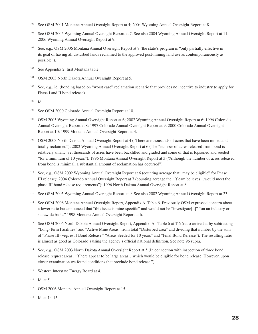- <sup>100</sup> See OSM 2001 Montana Annual Oversight Report at 4; 2004 Wyoming Annual Oversight Report at 8.
- <sup>101</sup> See OSM 2005 Wyoming Annual Oversight Report at 7. See also 2004 Wyoming Annual Oversight Report at 11; 2006 Wyoming Annual Oversight Report at 9.
- See, e.g., OSM 2006 Montana Annual Oversight Report at 7 (the state's program is "only partially effective in its goal of having all disturbed lands reclaimed to the approved post-mining land use as contemporaneously as possible").
- <sup>103</sup> See Appendix 2, first Montana table.
- <sup>104</sup> OSM 2003 North Dakota Annual Oversight Report at 5.
- <sup>105</sup> See, e.g., id. (bonding based on "worst case" reclamation scenario that provides no incentive to industry to apply for Phase I and II bond release).

<sup>106</sup> Id.

- <sup>107</sup> See OSM 2000 Colorado Annual Oversight Report at 10.
- <sup>108</sup> OSM 2005 Wyoming Annual Oversight Report at 6; 2002 Wyoming Annual Oversight Report at 6; 1996 Colorado Annual Oversight Report at 8; 1997 Colorado Annual Oversight Report at 9; 2000 Colorado Annual Oversight Report at 10; 1999 Montana Annual Oversight Report at 4.
- <sup>109</sup> OSM 2003 North Dakota Annual Oversight Report at 4 ("There are thousands of acres that have been mined and totally reclaimed"); 2002 Wyoming Annual Oversight Report at 6 (The "number of acres released from bond is relatively small," yet thousands of acres have been backfilled and graded and some of that is topsoiled and seeded "for a minimum of 10 years"); 1996 Montana Annual Oversight Report at 3 ("Although the number of acres released from bond is minimal, a substantial amount of reclamation has occurred").
- See, e.g., OSM 2002 Wyoming Annual Oversight Report at 6 (counting acreage that "may be eligible" for Phase III release); 2004 Colorado Annual Oversight Report at 7 (counting acreage the "[t]eam believes…would meet the phase III bond release requirements"); 1996 North Dakota Annual Oversight Report at 8.
- <sup>111</sup> See OSM 2005 Wyoming Annual Oversight Report at 9. See also 2002 Wyoming Annual Oversight Report at 23.
- <sup>112</sup> See OSM 2006 Montana Annual Oversight Report, Appendix A, Table 6. Previously OSM expressed concern about a lower ratio but announced that "this issue is mine-specific" and would not be "investigate[d]" "on an industry or statewide basis." 1998 Montana Annual Oversight Report at 6.
- <sup>113</sup> See OSM 2006 North Dakota Annual Oversight Report, Appendix. A., Table 6 at T-6 (ratio arrived at by subtracting "Long-Term Facilities" and "Active Mine Areas" from total "Disturbed area" and dividing that number by the sum of "Phase III (veg. est.) Bond Release," "Areas Seeded for 10 years" and "Final Bond Release"). The resulting ratio is almost as good as Colorado's using the agency's official national definition. See note 96 supra.
- See, e.g., OSM 2003 North Dakota Annual Oversight Report at 5 (In connection with inspection of three bond release request areas, "[t]here appear to be large areas…which would be eligible for bond release. However, upon closer examination we found conditions that preclude bond release.").
- <sup>115</sup> Western Interstate Energy Board at 4.
- $116$  Id. at 5.
- <sup>117</sup> OSM 2006 Montana Annual Oversight Report at 15.
- 118 Id. at 14-15.